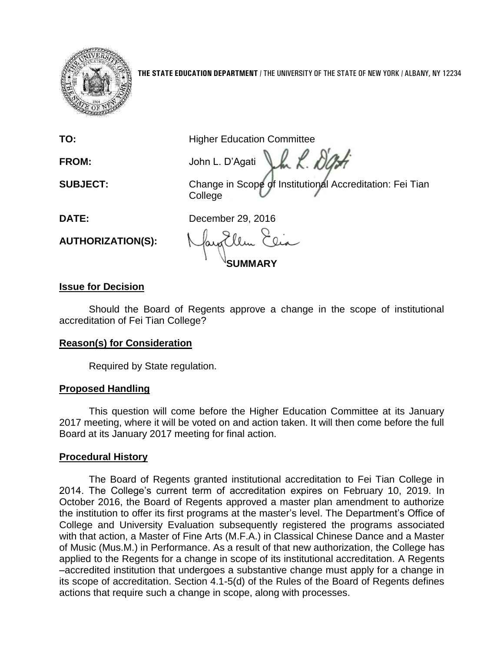

**THE STATE EDUCATION DEPARTMENT** / THE UNIVERSITY OF THE STATE OF NEW YORK / ALBANY, NY 12234

**TO:** Higher Education Committee

Jh L. **FROM:** John L. D'Agati

**SUBJECT:** Change in Scope of Institutional Accreditation: Fei Tian College

**DATE:** December 29, 2016

**AUTHORIZATION(S):**

**SUMMARY**

# **Issue for Decision**

Should the Board of Regents approve a change in the scope of institutional accreditation of Fei Tian College?

## **Reason(s) for Consideration**

Required by State regulation.

## **Proposed Handling**

This question will come before the Higher Education Committee at its January 2017 meeting, where it will be voted on and action taken. It will then come before the full Board at its January 2017 meeting for final action.

## **Procedural History**

The Board of Regents granted institutional accreditation to Fei Tian College in 2014. The College's current term of accreditation expires on February 10, 2019. In October 2016, the Board of Regents approved a master plan amendment to authorize the institution to offer its first programs at the master's level. The Department's Office of College and University Evaluation subsequently registered the programs associated with that action, a Master of Fine Arts (M.F.A.) in Classical Chinese Dance and a Master of Music (Mus.M.) in Performance. As a result of that new authorization, the College has applied to the Regents for a change in scope of its institutional accreditation. A Regents –accredited institution that undergoes a substantive change must apply for a change in its scope of accreditation. Section 4.1-5(d) of the Rules of the Board of Regents defines actions that require such a change in scope, along with processes.